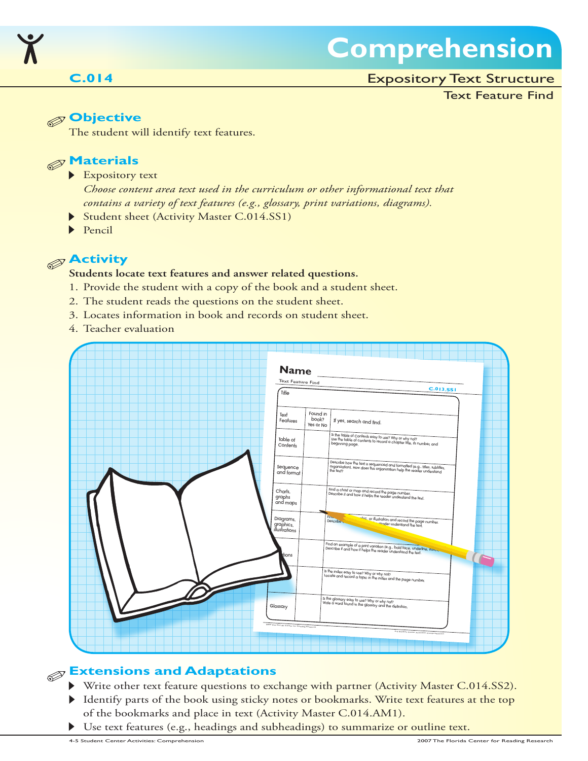

# **Comprehension**

### Expository Text Structure

#### Text Feature Find

### **Objective**

The student will identify text features.

### **Materials**

#### Expository text

- *Choose content area text used in the curriculum or other informational text that contains a variety of text features (e.g., glossary, print variations, diagrams).*
- Student sheet (Activity Master C.014.SS1)
- $\blacktriangleright$ Pencil

## **Activity**

#### **Students locate text features and answer related questions.**

- 1. Provide the student with a copy of the book and a student sheet.
- 2. The student reads the questions on the student sheet.
- 3. Locates information in book and records on student sheet.
- 4. Teacher evaluation



# **Extensions and Adaptations**

- Write other text feature questions to exchange with partner (Activity Master C.014.SS2).
- Identify parts of the book using sticky notes or bookmarks. Write text features at the top of the bookmarks and place in text (Activity Master C.014.AM1).
- Use text features (e.g., headings and subheadings) to summarize or outline text.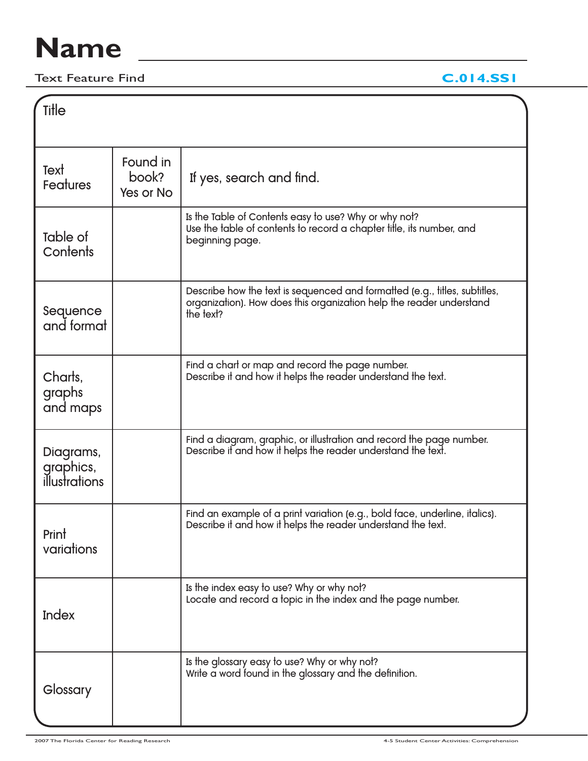# **Name**

Text Feature Find **C.014.SS1**

| Ti <del>l</del> le                      |                                |                                                                                                                                                                 |  |
|-----------------------------------------|--------------------------------|-----------------------------------------------------------------------------------------------------------------------------------------------------------------|--|
| Text<br><b>Features</b>                 | Found in<br>book?<br>Yes or No | If yes, search and find.                                                                                                                                        |  |
| Table of<br>Contents                    |                                | Is the Table of Contents easy to use? Why or why not?<br>Use the table of contents to record a chapter title, its number, and<br>beginning page.                |  |
| Sequence<br>and format                  |                                | Describe how the text is sequenced and formatted (e.g., titles, subtitles,<br>organization). How does this organization help the reader understand<br>the text? |  |
| Charts,<br>graphs<br>and maps           |                                | Find a chart or map and record the page number.<br>Describe it and how it helps the reader understand the text.                                                 |  |
| Diagrams,<br>graphics,<br>illustrations |                                | Find a diagram, graphic, or illustration and record the page number.<br>Describe if and how it helps the reader understand the text.                            |  |
| Print<br>variations                     |                                | Find an example of a print variation (e.g., bold face, underline, italics).<br>Describe it and how it helps the reader understand the text.                     |  |
| Index                                   |                                | Is the index easy to use? Why or why not?<br>Locate and record a topic in the index and the page number.                                                        |  |
| Glossary                                |                                | Is the glossary easy to use? Why or why not?<br>Write a word found in the glossary and the definition.                                                          |  |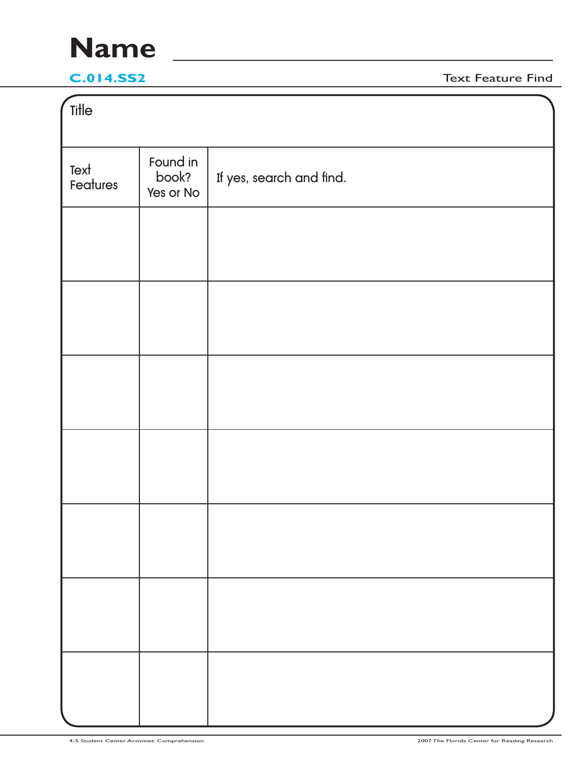# **Name**

**C.014.SS2** Text Feature Find

| Title            |                                |                          |
|------------------|--------------------------------|--------------------------|
| Text<br>Features | Found in<br>book?<br>Yes or No | If yes, search and find. |
|                  |                                |                          |
|                  |                                |                          |
|                  |                                |                          |
|                  |                                |                          |
|                  |                                |                          |
|                  |                                |                          |
|                  |                                |                          |
|                  |                                |                          |
|                  |                                |                          |